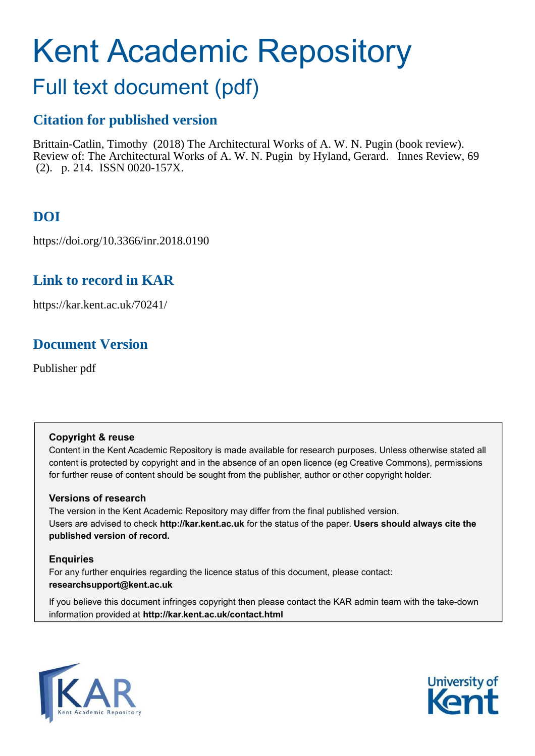# Kent Academic Repository

## Full text document (pdf)

## **Citation for published version**

Brittain-Catlin, Timothy (2018) The Architectural Works of A. W. N. Pugin (book review). Review of: The Architectural Works of A. W. N. Pugin by Hyland, Gerard. Innes Review, 69 (2). p. 214. ISSN 0020-157X.

## **DOI**

https://doi.org/10.3366/inr.2018.0190

## **Link to record in KAR**

https://kar.kent.ac.uk/70241/

## **Document Version**

Publisher pdf

#### **Copyright & reuse**

Content in the Kent Academic Repository is made available for research purposes. Unless otherwise stated all content is protected by copyright and in the absence of an open licence (eg Creative Commons), permissions for further reuse of content should be sought from the publisher, author or other copyright holder.

#### **Versions of research**

The version in the Kent Academic Repository may differ from the final published version. Users are advised to check **http://kar.kent.ac.uk** for the status of the paper. **Users should always cite the published version of record.**

#### **Enquiries**

For any further enquiries regarding the licence status of this document, please contact: **researchsupport@kent.ac.uk**

If you believe this document infringes copyright then please contact the KAR admin team with the take-down information provided at **http://kar.kent.ac.uk/contact.html**



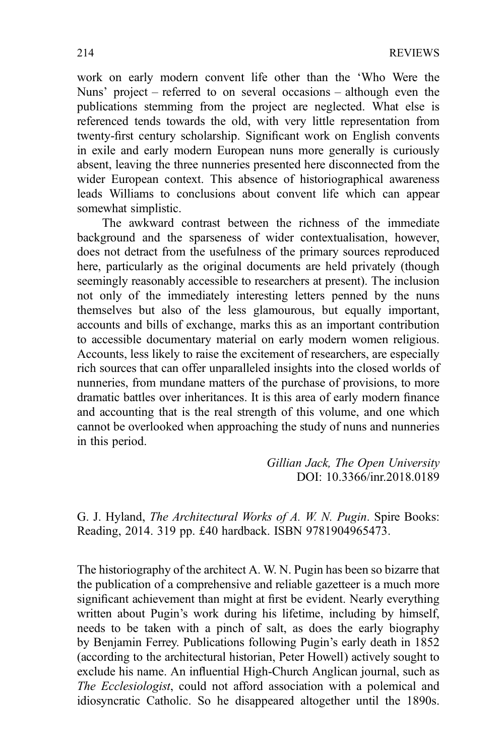work on early modern convent life other than the 'Who Were the Nuns' project – referred to on several occasions – although even the publications stemming from the project are neglected. What else is referenced tends towards the old, with very little representation from twenty-first century scholarship. Significant work on English convents in exile and early modern European nuns more generally is curiously absent, leaving the three nunneries presented here disconnected from the wider European context. This absence of historiographical awareness leads Williams to conclusions about convent life which can appear somewhat simplistic.

The awkward contrast between the richness of the immediate background and the sparseness of wider contextualisation, however, does not detract from the usefulness of the primary sources reproduced here, particularly as the original documents are held privately (though seemingly reasonably accessible to researchers at present). The inclusion not only of the immediately interesting letters penned by the nuns themselves but also of the less glamourous, but equally important, accounts and bills of exchange, marks this as an important contribution to accessible documentary material on early modern women religious. Accounts, less likely to raise the excitement of researchers, are especially rich sources that can offer unparalleled insights into the closed worlds of nunneries, from mundane matters of the purchase of provisions, to more dramatic battles over inheritances. It is this area of early modern finance and accounting that is the real strength of this volume, and one which cannot be overlooked when approaching the study of nuns and nunneries in this period.

> *Gillian Jack, The Open University* DOI: 10.3366/inr.2018.0189

G. J. Hyland, *The Architectural Works of A. W. N. Pugin*. Spire Books: Reading, 2014. 319 pp. £40 hardback. ISBN 9781904965473.

The historiography of the architect A. W. N. Pugin has been so bizarre that the publication of a comprehensive and reliable gazetteer is a much more significant achievement than might at first be evident. Nearly everything written about Pugin's work during his lifetime, including by himself, needs to be taken with a pinch of salt, as does the early biography by Benjamin Ferrey. Publications following Pugin's early death in 1852 (according to the architectural historian, Peter Howell) actively sought to exclude his name. An influential High-Church Anglican journal, such as *The Ecclesiologist*, could not afford association with a polemical and idiosyncratic Catholic. So he disappeared altogether until the 1890s.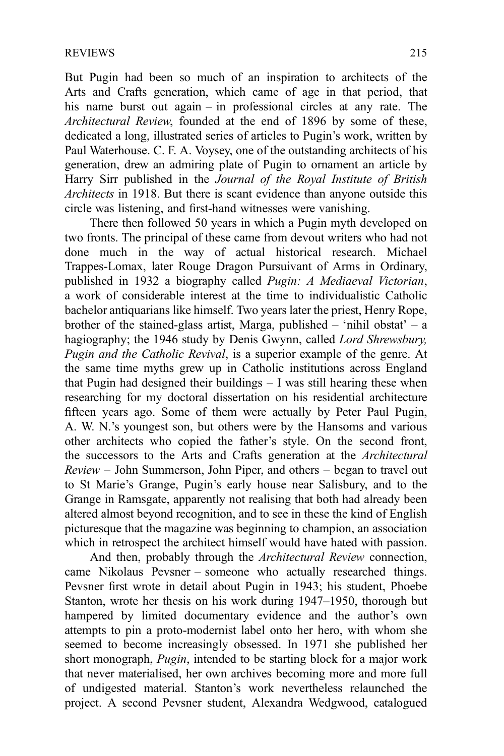But Pugin had been so much of an inspiration to architects of the Arts and Crafts generation, which came of age in that period, that his name burst out again – in professional circles at any rate. The *Architectural Review*, founded at the end of 1896 by some of these, dedicated a long, illustrated series of articles to Pugin's work, written by Paul Waterhouse. C. F. A. Voysey, one of the outstanding architects of his generation, drew an admiring plate of Pugin to ornament an article by Harry Sirr published in the *Journal of the Royal Institute of British Architects* in 1918. But there is scant evidence than anyone outside this circle was listening, and first-hand witnesses were vanishing.

There then followed 50 years in which a Pugin myth developed on two fronts. The principal of these came from devout writers who had not done much in the way of actual historical research. Michael Trappes-Lomax, later Rouge Dragon Pursuivant of Arms in Ordinary, published in 1932 a biography called *Pugin: A Mediaeval Victorian*, a work of considerable interest at the time to individualistic Catholic bachelor antiquarians like himself. Two years later the priest, Henry Rope, brother of the stained-glass artist, Marga, published – 'nihil obstat' – a hagiography; the 1946 study by Denis Gwynn, called *Lord Shrewsbury, Pugin and the Catholic Revival*, is a superior example of the genre. At the same time myths grew up in Catholic institutions across England that Pugin had designed their buildings  $-$  I was still hearing these when researching for my doctoral dissertation on his residential architecture fifteen years ago. Some of them were actually by Peter Paul Pugin, A. W. N.'s youngest son, but others were by the Hansoms and various other architects who copied the father's style. On the second front, the successors to the Arts and Crafts generation at the *Architectural Review* – John Summerson, John Piper, and others – began to travel out to St Marie's Grange, Pugin's early house near Salisbury, and to the Grange in Ramsgate, apparently not realising that both had already been altered almost beyond recognition, and to see in these the kind of English picturesque that the magazine was beginning to champion, an association which in retrospect the architect himself would have hated with passion.

And then, probably through the *Architectural Review* connection, came Nikolaus Pevsner – someone who actually researched things. Pevsner first wrote in detail about Pugin in 1943; his student, Phoebe Stanton, wrote her thesis on his work during 1947–1950, thorough but hampered by limited documentary evidence and the author's own attempts to pin a proto-modernist label onto her hero, with whom she seemed to become increasingly obsessed. In 1971 she published her short monograph, *Pugin*, intended to be starting block for a major work that never materialised, her own archives becoming more and more full of undigested material. Stanton's work nevertheless relaunched the project. A second Pevsner student, Alexandra Wedgwood, catalogued